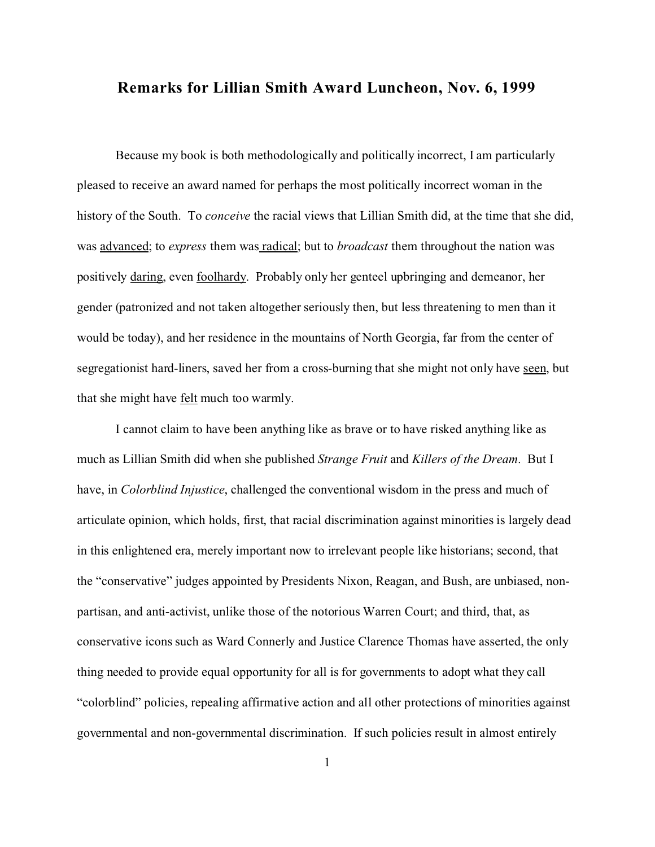## **Remarks for Lillian Smith Award Luncheon, Nov. 6, 1999**

Because my book is both methodologically and politically incorrect, I am particularly pleased to receive an award named for perhaps the most politically incorrect woman in the history of the South. To *conceive* the racial views that Lillian Smith did, at the time that she did, was advanced; to *express* them was radical; but to *broadcast* them throughout the nation was positively daring, even foolhardy. Probably only her genteel upbringing and demeanor, her gender (patronized and not taken altogether seriously then, but less threatening to men than it would be today), and her residence in the mountains of North Georgia, far from the center of segregationist hard-liners, saved her from a cross-burning that she might not only have seen, but that she might have felt much too warmly.

I cannot claim to have been anything like as brave or to have risked anything like as much as Lillian Smith did when she published *Strange Fruit* and *Killers of the Dream*. But I have, in *Colorblind Injustice*, challenged the conventional wisdom in the press and much of articulate opinion, which holds, first, that racial discrimination against minorities is largely dead in this enlightened era, merely important now to irrelevant people like historians; second, that the "conservative" judges appointed by Presidents Nixon, Reagan, and Bush, are unbiased, nonpartisan, and anti-activist, unlike those of the notorious Warren Court; and third, that, as conservative icons such as Ward Connerly and Justice Clarence Thomas have asserted, the only thing needed to provide equal opportunity for all is for governments to adopt what they call "colorblind" policies, repealing affirmative action and all other protections of minorities against governmental and non-governmental discrimination. If such policies result in almost entirely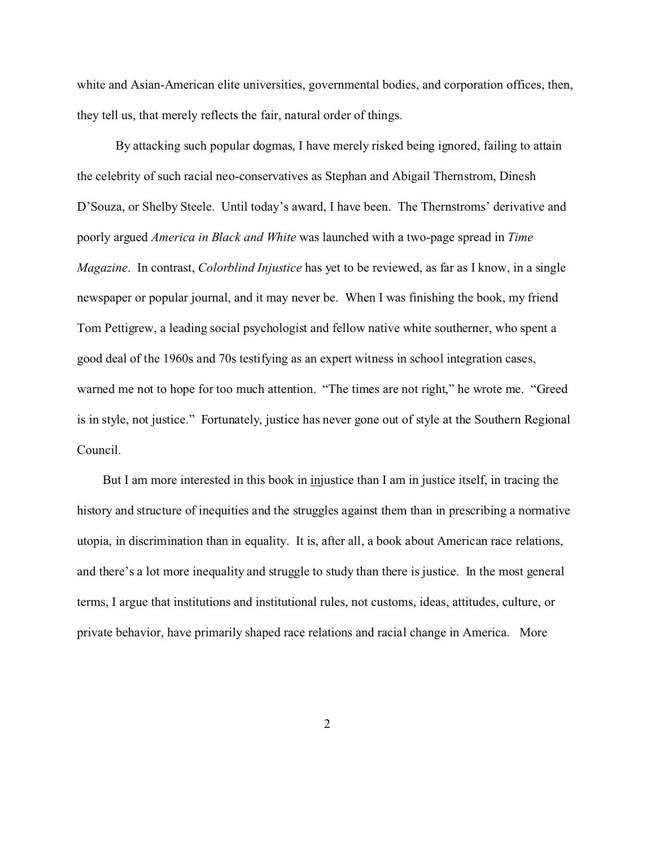white and Asian-American elite universities, governmental bodies, and corporation offices, then, they tell us, that merely reflects the fair, natural order of things.

By attacking such popular dogmas, I have merely risked being ignored, failing to attain the celebrity of such racial neo-conservatives as Stephan and Abigail Thernstrom, Dinesh D'Souza, or Shelby Steele. Until today's award, I have been. The Thernstroms' derivative and poorly argued *America in Black and White* was launched with a two-page spread in *Time Magazine*. In contrast, *Colorblind Injustice* has yet to be reviewed, as far as I know, in a single newspaper or popular journal, and it may never be. When I was finishing the book, my friend Tom Pettigrew, a leading social psychologist and fellow native white southerner, who spent a good deal of the 1960s and 70s testifying as an expert witness in school integration cases, warned me not to hope for too much attention. "The times are not right," he wrote me. "Greed is in style, not justice." Fortunately, justice has never gone out of style at the Southern Regional Council.

But I am more interested in this book in injustice than I am in justice itself, in tracing the history and structure of inequities and the struggles against them than in prescribing a normative utopia, in discrimination than in equality. It is, after all, a book about American race relations, and there's a lot more inequality and struggle to study than there is justice. In the most general terms, I argue that institutions and institutional rules, not customs, ideas, attitudes, culture, or private behavior, have primarily shaped race relations and racial change in America. More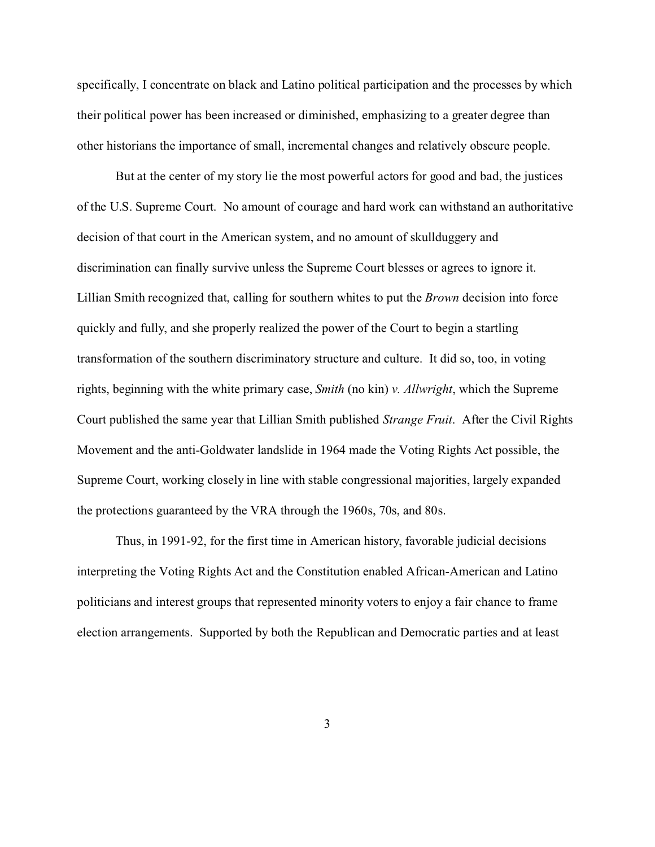specifically, I concentrate on black and Latino political participation and the processes by which their political power has been increased or diminished, emphasizing to a greater degree than other historians the importance of small, incremental changes and relatively obscure people.

But at the center of my story lie the most powerful actors for good and bad, the justices of the U.S. Supreme Court. No amount of courage and hard work can withstand an authoritative decision of that court in the American system, and no amount of skullduggery and discrimination can finally survive unless the Supreme Court blesses or agrees to ignore it. Lillian Smith recognized that, calling for southern whites to put the *Brown* decision into force quickly and fully, and she properly realized the power of the Court to begin a startling transformation of the southern discriminatory structure and culture. It did so, too, in voting rights, beginning with the white primary case, *Smith* (no kin) *v. Allwright*, which the Supreme Court published the same year that Lillian Smith published *Strange Fruit*. After the Civil Rights Movement and the anti-Goldwater landslide in 1964 made the Voting Rights Act possible, the Supreme Court, working closely in line with stable congressional majorities, largely expanded the protections guaranteed by the VRA through the 1960s, 70s, and 80s.

Thus, in 1991-92, for the first time in American history, favorable judicial decisions interpreting the Voting Rights Act and the Constitution enabled African-American and Latino politicians and interest groups that represented minority voters to enjoy a fair chance to frame election arrangements. Supported by both the Republican and Democratic parties and at least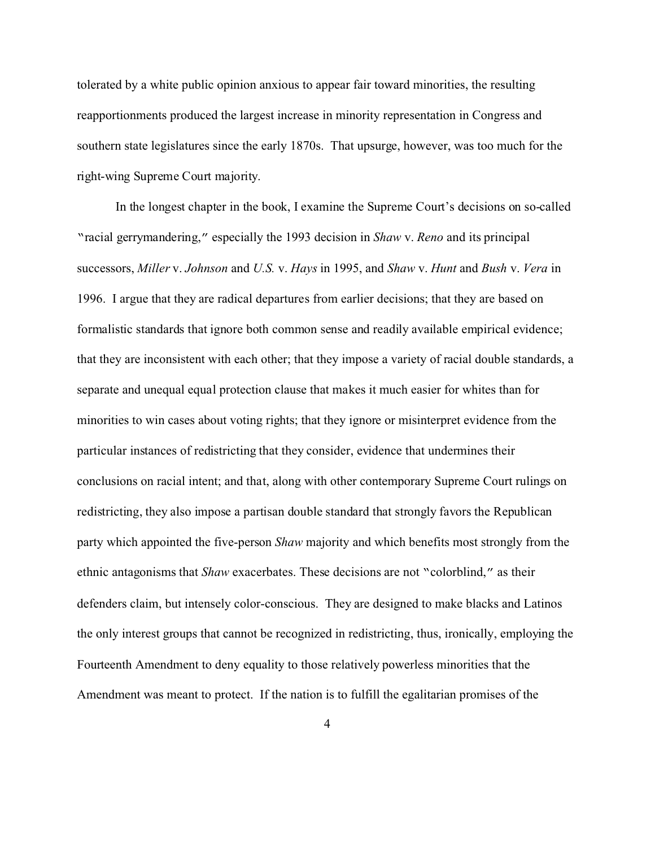tolerated by a white public opinion anxious to appear fair toward minorities, the resulting reapportionments produced the largest increase in minority representation in Congress and southern state legislatures since the early 1870s. That upsurge, however, was too much for the right-wing Supreme Court majority.

In the longest chapter in the book, I examine the Supreme Court's decisions on so-called "racial gerrymandering," especially the 1993 decision in *Shaw* v. *Reno* and its principal successors, *Miller* v. *Johnson* and *U.S.* v. *Hays* in 1995, and *Shaw* v. *Hunt* and *Bush* v. *Vera* in 1996. I argue that they are radical departures from earlier decisions; that they are based on formalistic standards that ignore both common sense and readily available empirical evidence; that they are inconsistent with each other; that they impose a variety of racial double standards, a separate and unequal equal protection clause that makes it much easier for whites than for minorities to win cases about voting rights; that they ignore or misinterpret evidence from the particular instances of redistricting that they consider, evidence that undermines their conclusions on racial intent; and that, along with other contemporary Supreme Court rulings on redistricting, they also impose a partisan double standard that strongly favors the Republican party which appointed the five-person *Shaw* majority and which benefits most strongly from the ethnic antagonisms that *Shaw* exacerbates. These decisions are not "colorblind," as their defenders claim, but intensely color-conscious. They are designed to make blacks and Latinos the only interest groups that cannot be recognized in redistricting, thus, ironically, employing the Fourteenth Amendment to deny equality to those relatively powerless minorities that the Amendment was meant to protect. If the nation is to fulfill the egalitarian promises of the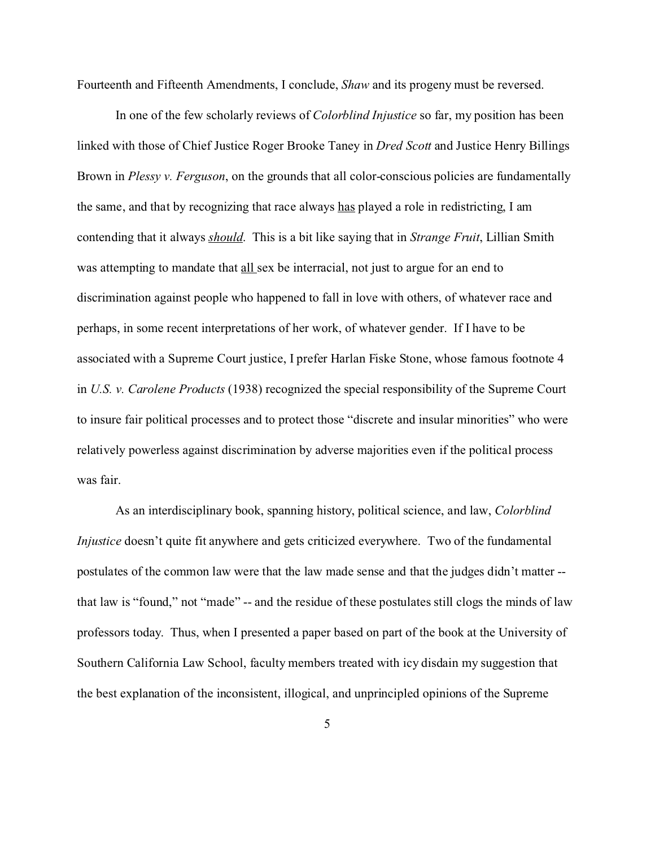Fourteenth and Fifteenth Amendments, I conclude, *Shaw* and its progeny must be reversed.

In one of the few scholarly reviews of *Colorblind Injustice* so far, my position has been linked with those of Chief Justice Roger Brooke Taney in *Dred Scott* and Justice Henry Billings Brown in *Plessy v. Ferguson*, on the grounds that all color-conscious policies are fundamentally the same, and that by recognizing that race always has played a role in redistricting, I am contending that it always *should*. This is a bit like saying that in *Strange Fruit*, Lillian Smith was attempting to mandate that all sex be interracial, not just to argue for an end to discrimination against people who happened to fall in love with others, of whatever race and perhaps, in some recent interpretations of her work, of whatever gender. If I have to be associated with a Supreme Court justice, I prefer Harlan Fiske Stone, whose famous footnote 4 in *U.S. v. Carolene Products* (1938) recognized the special responsibility of the Supreme Court to insure fair political processes and to protect those "discrete and insular minorities" who were relatively powerless against discrimination by adverse majorities even if the political process was fair.

As an interdisciplinary book, spanning history, political science, and law, *Colorblind Injustice* doesn't quite fit anywhere and gets criticized everywhere. Two of the fundamental postulates of the common law were that the law made sense and that the judges didn't matter - that law is "found," not "made" -- and the residue of these postulates still clogs the minds of law professors today. Thus, when I presented a paper based on part of the book at the University of Southern California Law School, faculty members treated with icy disdain my suggestion that the best explanation of the inconsistent, illogical, and unprincipled opinions of the Supreme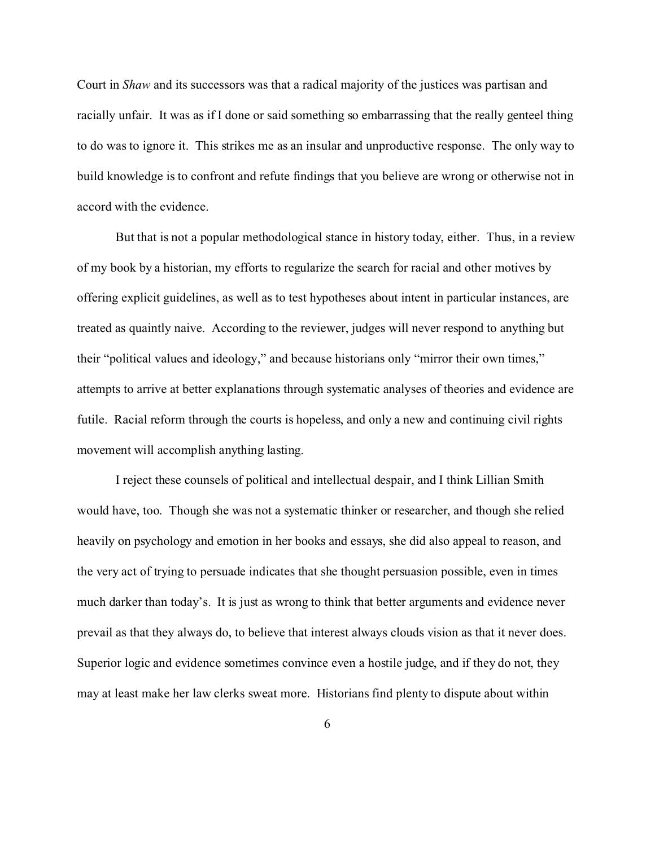Court in *Shaw* and its successors was that a radical majority of the justices was partisan and racially unfair. It was as if I done or said something so embarrassing that the really genteel thing to do was to ignore it. This strikes me as an insular and unproductive response. The only way to build knowledge is to confront and refute findings that you believe are wrong or otherwise not in accord with the evidence.

But that is not a popular methodological stance in history today, either. Thus, in a review of my book by a historian, my efforts to regularize the search for racial and other motives by offering explicit guidelines, as well as to test hypotheses about intent in particular instances, are treated as quaintly naive. According to the reviewer, judges will never respond to anything but their "political values and ideology," and because historians only "mirror their own times," attempts to arrive at better explanations through systematic analyses of theories and evidence are futile. Racial reform through the courts is hopeless, and only a new and continuing civil rights movement will accomplish anything lasting.

I reject these counsels of political and intellectual despair, and I think Lillian Smith would have, too. Though she was not a systematic thinker or researcher, and though she relied heavily on psychology and emotion in her books and essays, she did also appeal to reason, and the very act of trying to persuade indicates that she thought persuasion possible, even in times much darker than today's. It is just as wrong to think that better arguments and evidence never prevail as that they always do, to believe that interest always clouds vision as that it never does. Superior logic and evidence sometimes convince even a hostile judge, and if they do not, they may at least make her law clerks sweat more. Historians find plenty to dispute about within